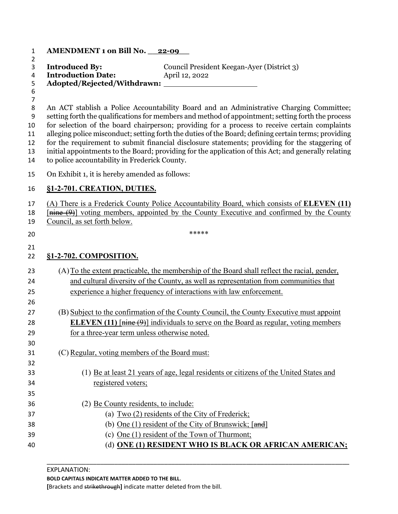| 1                                                                   | AMENDMENT 1 on Bill No. 22-09                                                                                                                                                                                                                                                                                                                                                                                                                                                                                                                                                                                                                                    |
|---------------------------------------------------------------------|------------------------------------------------------------------------------------------------------------------------------------------------------------------------------------------------------------------------------------------------------------------------------------------------------------------------------------------------------------------------------------------------------------------------------------------------------------------------------------------------------------------------------------------------------------------------------------------------------------------------------------------------------------------|
| $\overline{2}$<br>3<br>4<br>5<br>$\boldsymbol{6}$<br>$\overline{7}$ | <b>Introduced By:</b><br>Council President Keegan-Ayer (District 3)<br><b>Introduction Date:</b><br>April 12, 2022                                                                                                                                                                                                                                                                                                                                                                                                                                                                                                                                               |
| 8<br>9<br>10<br>11<br>12<br>13<br>14                                | An ACT stablish a Police Accountability Board and an Administrative Charging Committee;<br>setting forth the qualifications for members and method of appointment; setting forth the process<br>for selection of the board chairperson; providing for a process to receive certain complaints<br>alleging police misconduct; setting forth the duties of the Board; defining certain terms; providing<br>for the requirement to submit financial disclosure statements; providing for the staggering of<br>initial appointments to the Board; providing for the application of this Act; and generally relating<br>to police accountability in Frederick County. |
| 15                                                                  | On Exhibit 1, it is hereby amended as follows:                                                                                                                                                                                                                                                                                                                                                                                                                                                                                                                                                                                                                   |
| 16                                                                  | §1-2-701. CREATION, DUTIES.                                                                                                                                                                                                                                                                                                                                                                                                                                                                                                                                                                                                                                      |
| 17<br>18<br>19                                                      | (A) There is a Frederick County Police Accountability Board, which consists of <b>ELEVEN</b> (11)<br>[nine (9)] voting members, appointed by the County Executive and confirmed by the County<br>Council, as set forth below.                                                                                                                                                                                                                                                                                                                                                                                                                                    |
| 20                                                                  | *****                                                                                                                                                                                                                                                                                                                                                                                                                                                                                                                                                                                                                                                            |
| 21<br>22                                                            | §1-2-702. COMPOSITION.                                                                                                                                                                                                                                                                                                                                                                                                                                                                                                                                                                                                                                           |
| 23<br>24<br>25<br>26                                                | (A) To the extent practicable, the membership of the Board shall reflect the racial, gender,<br>and cultural diversity of the County, as well as representation from communities that<br>experience a higher frequency of interactions with law enforcement.                                                                                                                                                                                                                                                                                                                                                                                                     |
| 27                                                                  | (B) Subject to the confirmation of the County Council, the County Executive must appoint                                                                                                                                                                                                                                                                                                                                                                                                                                                                                                                                                                         |
| 28<br>29<br>30                                                      | <b>ELEVEN</b> (11) $\left[\frac{m\sin\theta}{2}\right]$ individuals to serve on the Board as regular, voting members<br>for a three-year term unless otherwise noted.                                                                                                                                                                                                                                                                                                                                                                                                                                                                                            |
| 31<br>32                                                            | (C) Regular, voting members of the Board must:                                                                                                                                                                                                                                                                                                                                                                                                                                                                                                                                                                                                                   |
| 33                                                                  | (1) Be at least 21 years of age, legal residents or citizens of the United States and                                                                                                                                                                                                                                                                                                                                                                                                                                                                                                                                                                            |
| 34<br>35                                                            | registered voters;                                                                                                                                                                                                                                                                                                                                                                                                                                                                                                                                                                                                                                               |
| 36                                                                  | (2) Be County residents, to include:                                                                                                                                                                                                                                                                                                                                                                                                                                                                                                                                                                                                                             |
| 37                                                                  | (a) $Two (2)$ residents of the City of Frederick;                                                                                                                                                                                                                                                                                                                                                                                                                                                                                                                                                                                                                |
| 38                                                                  | (b) One (1) resident of the City of Brunswick; [and]                                                                                                                                                                                                                                                                                                                                                                                                                                                                                                                                                                                                             |
| 39                                                                  | (c) One (1) resident of the Town of Thurmont;                                                                                                                                                                                                                                                                                                                                                                                                                                                                                                                                                                                                                    |
| 40                                                                  | (d) ONE (1) RESIDENT WHO IS BLACK OR AFRICAN AMERICAN;                                                                                                                                                                                                                                                                                                                                                                                                                                                                                                                                                                                                           |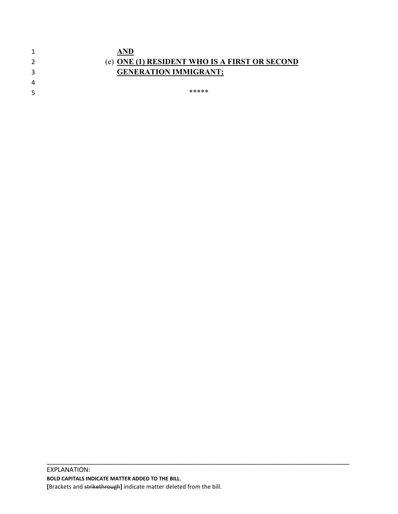|   | AND                                           |
|---|-----------------------------------------------|
| 2 | (e) ONE (1) RESIDENT WHO IS A FIRST OR SECOND |
|   | <b>GENERATION IMMIGRANT;</b>                  |
| 4 |                                               |
| 5 | *****                                         |
|   |                                               |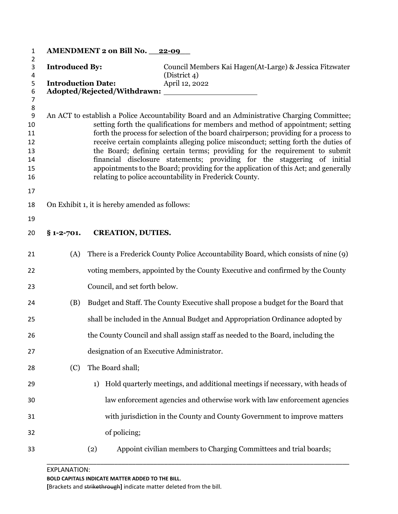| 1                                                                           |                                                                                                                                                                                                                                                                                                                                                                                                                                                                                                                                                                                                                                                                         | AMENDMENT 2 on Bill No. 22-09                  |                                                                                     |
|-----------------------------------------------------------------------------|-------------------------------------------------------------------------------------------------------------------------------------------------------------------------------------------------------------------------------------------------------------------------------------------------------------------------------------------------------------------------------------------------------------------------------------------------------------------------------------------------------------------------------------------------------------------------------------------------------------------------------------------------------------------------|------------------------------------------------|-------------------------------------------------------------------------------------|
| 2<br>3                                                                      | <b>Introduced By:</b><br><b>Introduction Date:</b>                                                                                                                                                                                                                                                                                                                                                                                                                                                                                                                                                                                                                      |                                                | Council Members Kai Hagen(At-Large) & Jessica Fitzwater                             |
| 4<br>5<br>6<br>$\overline{7}$                                               |                                                                                                                                                                                                                                                                                                                                                                                                                                                                                                                                                                                                                                                                         |                                                | (District 4)<br>April 12, 2022                                                      |
| $\bf 8$<br>$\boldsymbol{9}$<br>10<br>11<br>12<br>13<br>14<br>15<br>16<br>17 | An ACT to establish a Police Accountability Board and an Administrative Charging Committee;<br>setting forth the qualifications for members and method of appointment; setting<br>forth the process for selection of the board chairperson; providing for a process to<br>receive certain complaints alleging police misconduct; setting forth the duties of<br>the Board; defining certain terms; providing for the requirement to submit<br>financial disclosure statements; providing for the staggering of initial<br>appointments to the Board; providing for the application of this Act; and generally<br>relating to police accountability in Frederick County. |                                                |                                                                                     |
| 18                                                                          |                                                                                                                                                                                                                                                                                                                                                                                                                                                                                                                                                                                                                                                                         | On Exhibit 1, it is hereby amended as follows: |                                                                                     |
| 19                                                                          |                                                                                                                                                                                                                                                                                                                                                                                                                                                                                                                                                                                                                                                                         |                                                |                                                                                     |
| 20                                                                          | $§ 1 - 2 - 701.$                                                                                                                                                                                                                                                                                                                                                                                                                                                                                                                                                                                                                                                        | <b>CREATION, DUTIES.</b>                       |                                                                                     |
| 21                                                                          | (A)                                                                                                                                                                                                                                                                                                                                                                                                                                                                                                                                                                                                                                                                     |                                                | There is a Frederick County Police Accountability Board, which consists of nine (9) |
| 22                                                                          |                                                                                                                                                                                                                                                                                                                                                                                                                                                                                                                                                                                                                                                                         |                                                | voting members, appointed by the County Executive and confirmed by the County       |
| 23                                                                          |                                                                                                                                                                                                                                                                                                                                                                                                                                                                                                                                                                                                                                                                         | Council, and set forth below.                  |                                                                                     |
| 24                                                                          | (B)                                                                                                                                                                                                                                                                                                                                                                                                                                                                                                                                                                                                                                                                     |                                                | Budget and Staff. The County Executive shall propose a budget for the Board that    |
| 25                                                                          |                                                                                                                                                                                                                                                                                                                                                                                                                                                                                                                                                                                                                                                                         |                                                | shall be included in the Annual Budget and Appropriation Ordinance adopted by       |
| 26                                                                          |                                                                                                                                                                                                                                                                                                                                                                                                                                                                                                                                                                                                                                                                         |                                                | the County Council and shall assign staff as needed to the Board, including the     |
| 27                                                                          |                                                                                                                                                                                                                                                                                                                                                                                                                                                                                                                                                                                                                                                                         | designation of an Executive Administrator.     |                                                                                     |
| 28                                                                          | (C)                                                                                                                                                                                                                                                                                                                                                                                                                                                                                                                                                                                                                                                                     | The Board shall;                               |                                                                                     |
| 29                                                                          |                                                                                                                                                                                                                                                                                                                                                                                                                                                                                                                                                                                                                                                                         | 1)                                             | Hold quarterly meetings, and additional meetings if necessary, with heads of        |
| 30                                                                          |                                                                                                                                                                                                                                                                                                                                                                                                                                                                                                                                                                                                                                                                         |                                                | law enforcement agencies and otherwise work with law enforcement agencies           |
| 31                                                                          |                                                                                                                                                                                                                                                                                                                                                                                                                                                                                                                                                                                                                                                                         |                                                | with jurisdiction in the County and County Government to improve matters            |
| 32                                                                          |                                                                                                                                                                                                                                                                                                                                                                                                                                                                                                                                                                                                                                                                         | of policing;                                   |                                                                                     |
| 33                                                                          |                                                                                                                                                                                                                                                                                                                                                                                                                                                                                                                                                                                                                                                                         | (2)                                            | Appoint civilian members to Charging Committees and trial boards;                   |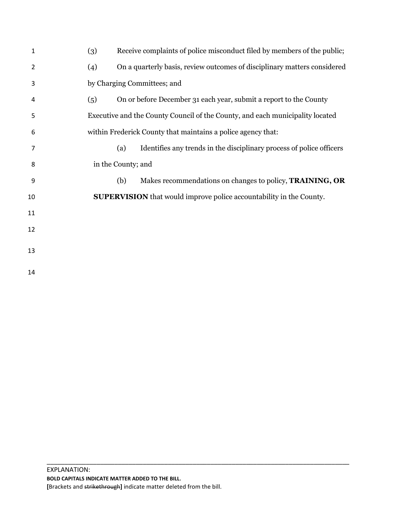| $\mathbf{1}$ | Receive complaints of police misconduct filed by members of the public;<br>(3)  |
|--------------|---------------------------------------------------------------------------------|
| 2            | On a quarterly basis, review outcomes of disciplinary matters considered<br>(4) |
| 3            | by Charging Committees; and                                                     |
| 4            | On or before December 31 each year, submit a report to the County<br>(5)        |
| 5            | Executive and the County Council of the County, and each municipality located   |
| 6            | within Frederick County that maintains a police agency that:                    |
| 7            | Identifies any trends in the disciplinary process of police officers<br>(a)     |
| 8            | in the County; and                                                              |
| 9            | Makes recommendations on changes to policy, <b>TRAINING</b> , OR<br>(b)         |
| 10           | <b>SUPERVISION</b> that would improve police accountability in the County.      |
| 11           |                                                                                 |
| 12           |                                                                                 |
| 13           |                                                                                 |
| 14           |                                                                                 |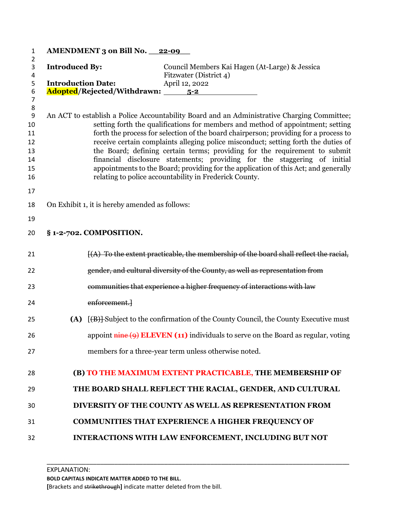| 1                                   | <b>AMENDMENT 3 on Bill No. 22-09</b>                                                                                                                                    |
|-------------------------------------|-------------------------------------------------------------------------------------------------------------------------------------------------------------------------|
| 2<br>$\ensuremath{\mathsf{3}}$<br>4 | <b>Introduced By:</b><br>Council Members Kai Hagen (At-Large) & Jessica<br>Fitzwater (District 4)                                                                       |
| 5                                   | <b>Introduction Date:</b><br>April 12, 2022                                                                                                                             |
| 6<br>$\overline{7}$                 | Adopted/Rejected/Withdrawn: 5-2                                                                                                                                         |
| 8                                   |                                                                                                                                                                         |
| 9                                   | An ACT to establish a Police Accountability Board and an Administrative Charging Committee;                                                                             |
| 10<br>11                            | setting forth the qualifications for members and method of appointment; setting<br>forth the process for selection of the board chairperson; providing for a process to |
| 12                                  | receive certain complaints alleging police misconduct; setting forth the duties of                                                                                      |
| 13                                  | the Board; defining certain terms; providing for the requirement to submit                                                                                              |
| 14                                  | financial disclosure statements; providing for the staggering of initial                                                                                                |
| 15                                  | appointments to the Board; providing for the application of this Act; and generally                                                                                     |
| 16                                  | relating to police accountability in Frederick County.                                                                                                                  |
| 17                                  |                                                                                                                                                                         |
| 18                                  | On Exhibit 1, it is hereby amended as follows:                                                                                                                          |
| 19                                  |                                                                                                                                                                         |
| 20                                  | § 1-2-702. COMPOSITION.                                                                                                                                                 |
| 21                                  | $f(A)$ To the extent practicable, the membership of the board shall reflect the racial,                                                                                 |
| 22                                  | gender, and cultural diversity of the County, as well as representation from                                                                                            |
| 23                                  | communities that experience a higher frequency of interactions with law                                                                                                 |
| 24                                  | enforcement.                                                                                                                                                            |
| 25                                  | [(B)] Subject to the confirmation of the County Council, the County Executive must<br>(A)                                                                               |
| 26                                  | appoint $\frac{m}{n}$ (9) ELEVEN (11) individuals to serve on the Board as regular, voting                                                                              |
| 27                                  | members for a three-year term unless otherwise noted.                                                                                                                   |
| 28                                  | (B) TO THE MAXIMUM EXTENT PRACTICABLE, THE MEMBERSHIP OF                                                                                                                |
| 29                                  | THE BOARD SHALL REFLECT THE RACIAL, GENDER, AND CULTURAL                                                                                                                |
| 30                                  | <b>DIVERSITY OF THE COUNTY AS WELL AS REPRESENTATION FROM</b>                                                                                                           |
| 31                                  | <b>COMMUNITIES THAT EXPERIENCE A HIGHER FREQUENCY OF</b>                                                                                                                |
| 32                                  | INTERACTIONS WITH LAW ENFORCEMENT, INCLUDING BUT NOT                                                                                                                    |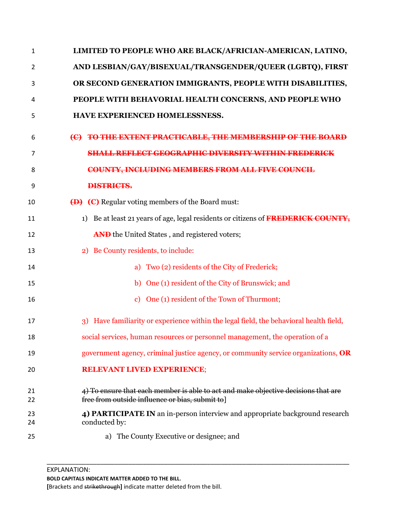| $\mathbf{1}$ | LIMITED TO PEOPLE WHO ARE BLACK/AFRICIAN-AMERICAN, LATINO,                                                                            |
|--------------|---------------------------------------------------------------------------------------------------------------------------------------|
| 2            | AND LESBIAN/GAY/BISEXUAL/TRANSGENDER/QUEER (LGBTQ), FIRST                                                                             |
| 3            | OR SECOND GENERATION IMMIGRANTS, PEOPLE WITH DISABILITIES,                                                                            |
| 4            | PEOPLE WITH BEHAVORIAL HEALTH CONCERNS, AND PEOPLE WHO                                                                                |
| 5            | HAVE EXPERIENCED HOMELESSNESS.                                                                                                        |
| 6            | (C) TO THE EXTENT PRACTICABLE, THE MEMBERSHIP OF THE BOARD                                                                            |
| 7            | <b>SHALL REFLECT GEOGRAPHIC DIVERSITY WITHIN FREDERICK</b>                                                                            |
| 8            | <b>COUNTY, INCLUDING MEMBERS FROM ALL FIVE COUNCIL</b>                                                                                |
| 9            | <b>DISTRICTS.</b>                                                                                                                     |
| 10           | (D) (C) Regular voting members of the Board must:                                                                                     |
| 11           | Be at least 21 years of age, legal residents or citizens of FREDERICK COUNTY,<br>1)                                                   |
| 12           | AND the United States, and registered voters;                                                                                         |
| 13           | 2) Be County residents, to include:                                                                                                   |
| 14           | a) Two (2) residents of the City of Frederick;                                                                                        |
| 15           | b) One (1) resident of the City of Brunswick; and                                                                                     |
| 16           | One (1) resident of the Town of Thurmont;<br>$\mathbf{c}$                                                                             |
| 17           | Have familiarity or experience within the legal field, the behavioral health field,<br>$\overline{3}$                                 |
| 18           | social services, human resources or personnel management, the operation of a                                                          |
| 19           | government agency, criminal justice agency, or community service organizations, OR                                                    |
| 20           | <b>RELEVANT LIVED EXPERIENCE;</b>                                                                                                     |
| 21<br>22     | 4) To ensure that each member is able to act and make objective decisions that are<br>free from outside influence or bias, submit to] |
| 23<br>24     | 4) PARTICIPATE IN an in-person interview and appropriate background research<br>conducted by:                                         |
| 25           | a) The County Executive or designee; and                                                                                              |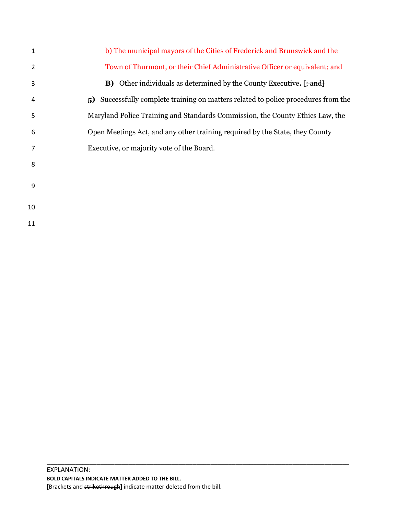| 1  | b) The municipal mayors of the Cities of Frederick and Brunswick and the                                   |
|----|------------------------------------------------------------------------------------------------------------|
| 2  | Town of Thurmont, or their Chief Administrative Officer or equivalent; and                                 |
| 3  | <b>B)</b> Other individuals as determined by the County Executive. $\left[\frac{1}{2}, \frac{1}{2}\right]$ |
| 4  | Successfully complete training on matters related to police procedures from the<br>5)                      |
| 5  | Maryland Police Training and Standards Commission, the County Ethics Law, the                              |
| 6  | Open Meetings Act, and any other training required by the State, they County                               |
| 7  | Executive, or majority vote of the Board.                                                                  |
| 8  |                                                                                                            |
| 9  |                                                                                                            |
| 10 |                                                                                                            |
| 11 |                                                                                                            |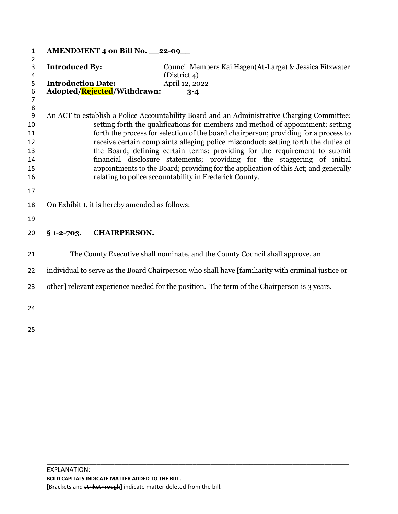| $\mathbf{1}$                                         |                                                    | AMENDMENT 4 on Bill No. 22-09                  |                                                                                                                                                                                                                                                                                                                                                                                                                                                                                                                                                                                                                                                                         |
|------------------------------------------------------|----------------------------------------------------|------------------------------------------------|-------------------------------------------------------------------------------------------------------------------------------------------------------------------------------------------------------------------------------------------------------------------------------------------------------------------------------------------------------------------------------------------------------------------------------------------------------------------------------------------------------------------------------------------------------------------------------------------------------------------------------------------------------------------------|
| $\overline{2}$<br>3<br>4<br>5<br>6<br>$\overline{7}$ | <b>Introduced By:</b><br><b>Introduction Date:</b> |                                                | Council Members Kai Hagen(At-Large) & Jessica Fitzwater<br>(District 4)<br>April 12, 2022<br>Adopted/ <mark>Rejected</mark> /Withdrawn: 3-4                                                                                                                                                                                                                                                                                                                                                                                                                                                                                                                             |
| 8<br>9<br>10<br>11<br>12<br>13<br>14<br>15<br>16     |                                                    |                                                | An ACT to establish a Police Accountability Board and an Administrative Charging Committee;<br>setting forth the qualifications for members and method of appointment; setting<br>forth the process for selection of the board chairperson; providing for a process to<br>receive certain complaints alleging police misconduct; setting forth the duties of<br>the Board; defining certain terms; providing for the requirement to submit<br>financial disclosure statements; providing for the staggering of initial<br>appointments to the Board; providing for the application of this Act; and generally<br>relating to police accountability in Frederick County. |
| 17<br>18<br>19                                       |                                                    | On Exhibit 1, it is hereby amended as follows: |                                                                                                                                                                                                                                                                                                                                                                                                                                                                                                                                                                                                                                                                         |
| 20                                                   | $§$ 1-2-703.                                       | <b>CHAIRPERSON.</b>                            |                                                                                                                                                                                                                                                                                                                                                                                                                                                                                                                                                                                                                                                                         |
| 21                                                   |                                                    |                                                | The County Executive shall nominate, and the County Council shall approve, an                                                                                                                                                                                                                                                                                                                                                                                                                                                                                                                                                                                           |
| 22                                                   |                                                    |                                                | individual to serve as the Board Chairperson who shall have [familiarity with criminal justice or                                                                                                                                                                                                                                                                                                                                                                                                                                                                                                                                                                       |
| 23                                                   |                                                    |                                                | other relevant experience needed for the position. The term of the Chairperson is 3 years.                                                                                                                                                                                                                                                                                                                                                                                                                                                                                                                                                                              |
| 24                                                   |                                                    |                                                |                                                                                                                                                                                                                                                                                                                                                                                                                                                                                                                                                                                                                                                                         |
| 25                                                   |                                                    |                                                |                                                                                                                                                                                                                                                                                                                                                                                                                                                                                                                                                                                                                                                                         |